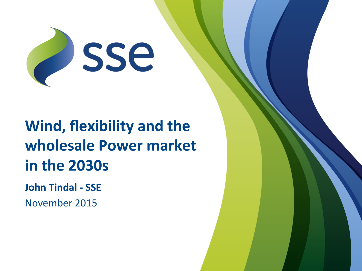

# **Wind, flexibility and the wholesale Power market in the 2030s**

**John Tindal - SSE** 

November 2015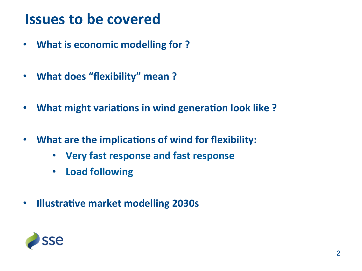### **Issues to be covered**

- What is economic modelling for ?
- What does "flexibility" mean?
- What might variations in wind generation look like?
- What are the implications of wind for flexibility:
	- **Very fast response and fast response**
	- Load following
- **Illustrative market modelling 2030s**

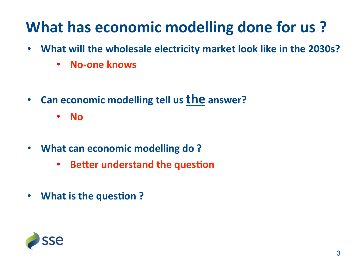## **What has economic modelling done for us?**

- What will the wholesale electricity market look like in the 2030s?
	- **No-one knows**
- Can economic modelling tell us the answer?
	- **No**
- What can economic modelling do?
	- **Better understand the question**
- What is the question ?

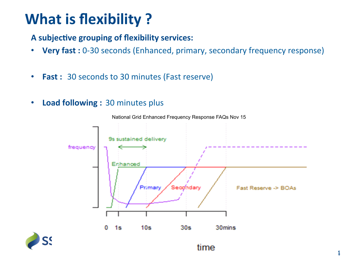### **What is flexibility?**

#### A subjective grouping of flexibility services:

- Very fast : 0-30 seconds (Enhanced, primary, secondary frequency response)
- **Fast**: 30 seconds to 30 minutes (Fast reserve)
- Load following: 30 minutes plus



National Grid Enhanced Frequency Response FAQs Nov 15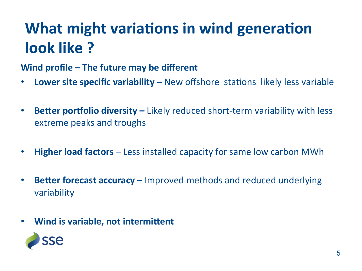# **What might variations in wind generation look** like?

#### **Wind profile – The future may be different**

- Lower site specific variability New offshore stations likely less variable
- **Better portfolio diversity** Likely reduced short-term variability with less extreme peaks and troughs
- **Higher load factors** Less installed capacity for same low carbon MWh
- **Better forecast accuracy** Improved methods and reduced underlying variability
- Wind is variable, not intermittent

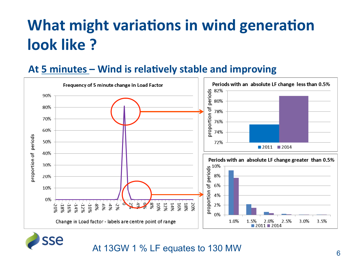## **What might variations in wind generation look** like?

#### At 5 minutes – Wind is relatively stable and improving





### At 13GW 1 % LF equates to 130 MW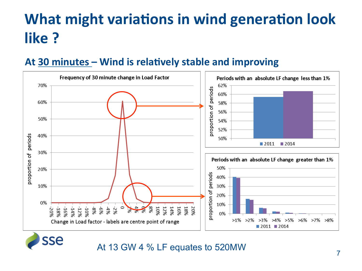# **What might variations in wind generation look like** ?

#### At 30 minutes – Wind is relatively stable and improving





sse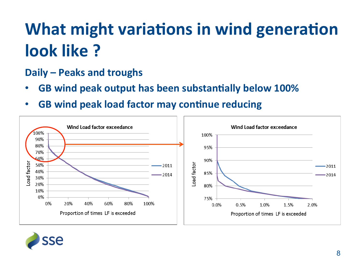# **What might variations in wind generation look** like?

### **Daily – Peaks and troughs**

- **GB wind peak output has been substantially below 100%**
- **GB wind peak load factor may continue reducing**



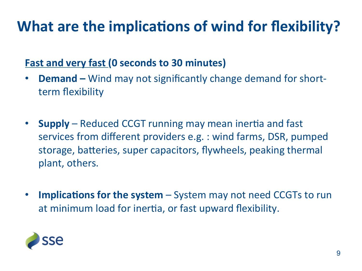## **What are the implications of wind for flexibility?**

### **Fast and very fast (0 seconds to 30 minutes)**

- **Demand** Wind may not significantly change demand for shortterm flexibility
- **Supply** Reduced CCGT running may mean inertia and fast services from different providers e.g. : wind farms, DSR, pumped storage, batteries, super capacitors, flywheels, peaking thermal plant, others.
- Implications for the system System may not need CCGTs to run at minimum load for inertia, or fast upward flexibility.

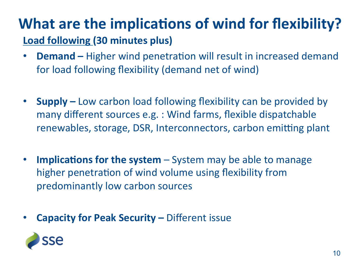### **What are the implications of wind for flexibility? Load following (30 minutes plus)**

- **Demand** Higher wind penetration will result in increased demand for load following flexibility (demand net of wind)
- **Supply** Low carbon load following flexibility can be provided by many different sources e.g. : Wind farms, flexible dispatchable renewables, storage, DSR, Interconnectors, carbon emitting plant
- **Implications for the system** System may be able to manage higher penetration of wind volume using flexibility from predominantly low carbon sources
- **Capacity for Peak Security Different issue**

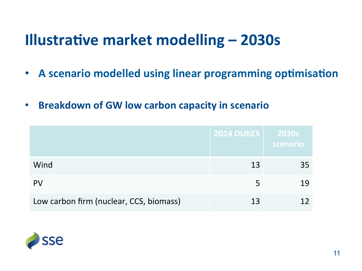- A scenario modelled using linear programming optimisation
- **Breakdown of GW low carbon capacity in scenario**

|                                         | <b>2014 DUKES</b> | 2030s<br>scenario |
|-----------------------------------------|-------------------|-------------------|
| Wind                                    | 13                | 35                |
| <b>PV</b>                               |                   | 19                |
| Low carbon firm (nuclear, CCS, biomass) | 13                |                   |

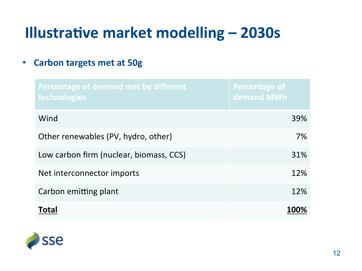• **Carbon targets met at 50g** 

| Percentage of demand met by different<br>technologies | Percentage of<br>demand MWh |
|-------------------------------------------------------|-----------------------------|
| Wind                                                  | 39%                         |
| Other renewables (PV, hydro, other)                   | 7%                          |
| Low carbon firm (nuclear, biomass, CCS)               | 31%                         |
| Net interconnector imports                            | 12%                         |
| Carbon emitting plant                                 | 12%                         |
| Total                                                 | 100%                        |

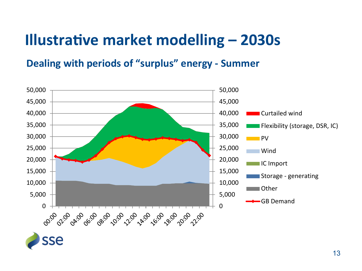#### **Dealing with periods of "surplus" energy - Summer**

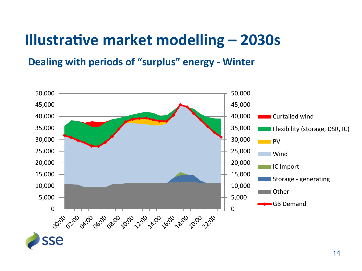#### **Dealing with periods of "surplus" energy - Winter**

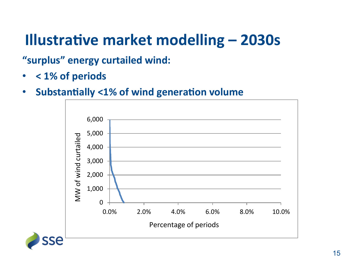"surplus" energy curtailed wind:

- < 1% of periods
- Substantially <1% of wind generation volume

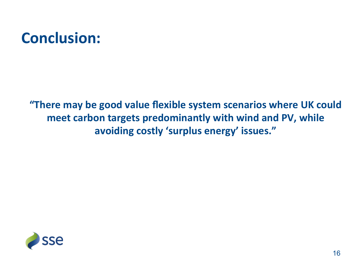### **Conclusion:**

"There may be good value flexible system scenarios where UK could meet carbon targets predominantly with wind and PV, while avoiding costly 'surplus energy' issues."